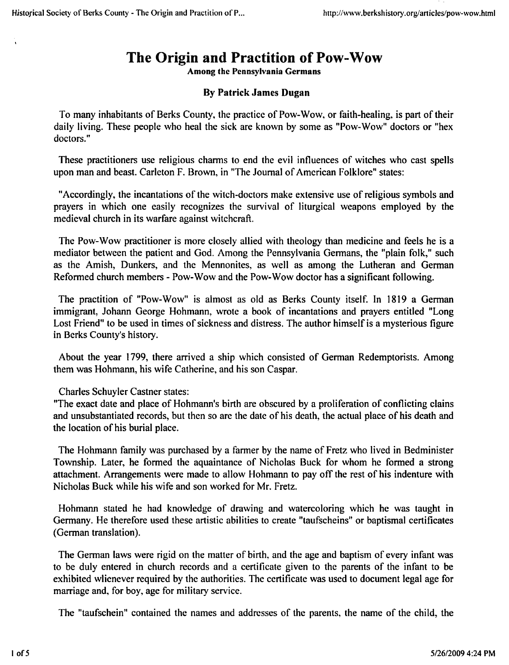## The Origin and Practition of Pow-Wow

Among the Pennsylvania Germans

## By Patrick James Dugan

To many inhabitants of Berks County, the practice of Pow-Wow, or faith-healing, is part of their daily living. These people who heal the sick are known by some as "Pow-Wow" doctors or "hex doctors."

These practitioners use religious charms to end the evil influences of witches who cast spells upon man and beast. Carleton F. Brown, in "The Journal of American Folklore" states:

"Accordingly, the incantations of the witch-doctors make extensive use of religious symbols and prayers in which one easily recognizes the survival of liturgical weapons employed by the medieval church in its warfare against witchcraft.

The Pow-Wow practitioner is more closely allied with theology than medicine and feels he is a mediator between the patient and God. Among the Pennsylvania Germans, the "plain folk," such as the Amish, Dunkers, and the Mennonites, as well as among the Lutheran and German Reformed church members - Pow-Wow and the Pow-Wow doctor has a significant following.

The practition of "Pow-Wow" is almost as old as Berks County itself. In 1819 a German immigrant, Johann George Hohmann, wrote a book of incantations and prayers entitled "Long Lost Friend" to be used in times of sickness and distress. The author himself is a mysterious figure in Berks County's history.

About the year 1799, there arrived a ship which consisted of German Redemptorists. Among them was Hohmann, his wife Catherine, and his son Caspar.

Charles Schuyler Castner states:

"The exact date and place of Hohmann's birth are obscured by a proliferation of conflicting clains and unsubstantiated records, but then so are the date of his death, the actual place of his death and the location of his burial place.

The Hohmann family was purchased by a farmer by the name of Fretz who lived in Bedminister Township. Later, he formed the aquaintance of Nicholas Buck for whom he formed a strong attachment. Arrangements were made to allow Hohmann to pay off the rest of his indenture with Nicholas Buck while his wife and son worked for Mr. Fretz.

Hohmann stated he had knowledge of drawing and watercoloring which he was taught in Germany. He therefore used these artistic abilities to create "taufscheins" or baptismal certificates (German translation).

The German laws were rigid on the matter of birth, and the age and baptism of every infant was to be duly entered in church records and a certificate given to the parents of the infant to be exhibited wlienever required by the authorities. The certificate was used to document legal age for marriage and, for boy, age for military service.

The "taufschein" contained the names and addresses of the parents, the name of the child, the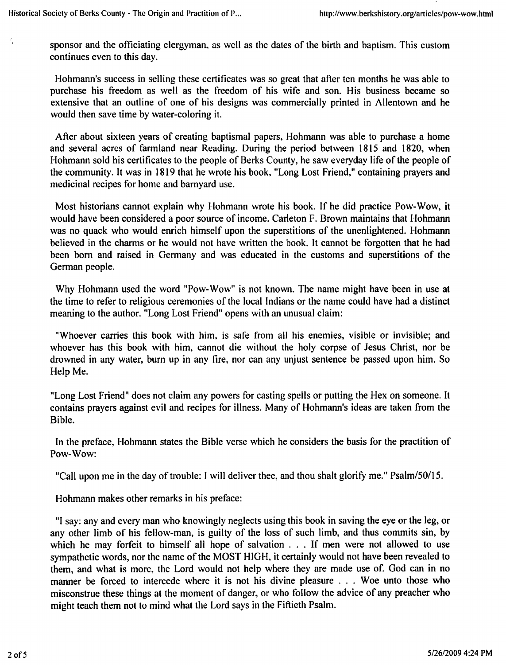sponsor and the officiating clergyman, as well as the dates of the birth and baptism. This custom continues even to this day.

Hohmann's success in selling these certificates was so great that after ten months he was able to purchase his freedom as well as the freedom of his wife and son. His business became so extensive that an outline of one of his designs was commercially printed in Allentown and he would then save time by water-coloring it.

After about sixteen years of creating baptismal papers, Hohmann was able to purchase a home and several acres of farmland near Reading. During the period between 1815 and 1820, when Hohmann sold his certificates to the people of Berks County, he saw everyday life of the people of the community. It was in 1819 that he wrote his book, "Long Lost Friend," containing prayers and medicinal recipes for home and barnyard use.

Most historians cannot explain why Hohmann wrote his book. If he did practice Pow-Wow, it would have been considered a poor source of income. Carleton F. Brown maintains that Hohmann was no quack who would enrich himself upon the superstitions of the unenlightened. Hohmann believed in the charms or he would not have written the book. It cannot be forgotten that he had been born and raised in Germany and was educated in the customs and superstitions of the German people.

Why Hohmann used the word "Pow-Wow" is not known. The name might have been in use at the time to refer to religious ceremonies of the local Indians or the name could have had a distinct meaning to the author. "Long Lost Friend" opens with an unusual claim:

"Whoever carries this book with him, is safe from all his enemies, visible or invisible; and whoever has this book with him, cannot die without the holy corpse of Jesus Christ, nor be drowned in any water, burn up in any fire, nor can any unjust sentence be passed upon him. So Help Me.

"Long Lost Friend" does not claim any powers for casting spells or putting the Hex on someone. It contains prayers against evil and recipes for illness. Many of Hohmann's ideas are taken from the Bible.

In the preface, Hohmann states the Bible verse which he considers the basis for the practition of Pow-Wow:

"Call upon me in the day of trouble: I will deliver thee, and thou shalt glorify me." Psalm/50/15.

Hohmann makes other remarks in his preface:

"I say: any and every man who knowingly neglects using this book in saving the eye or the leg, or any other limb of his fellow-man, is guilty of the loss of such limb, and thus commits sin, by which he may forfeit to himself all hope of salvation ... If men were not allowed to use sympathetic words, nor the name of the MOST HIGH, it certainly would not have been revealed to them, and what is more, the Lord would not help where they are made use of. God can in no manner be forced to intercede where it is not his divine pleasure . . . Woe unto those who misconstrue these things at the moment of danger, or who follow the advice of any preacher who might teach them not to mind what the Lord says in the Fiftieth Psalm.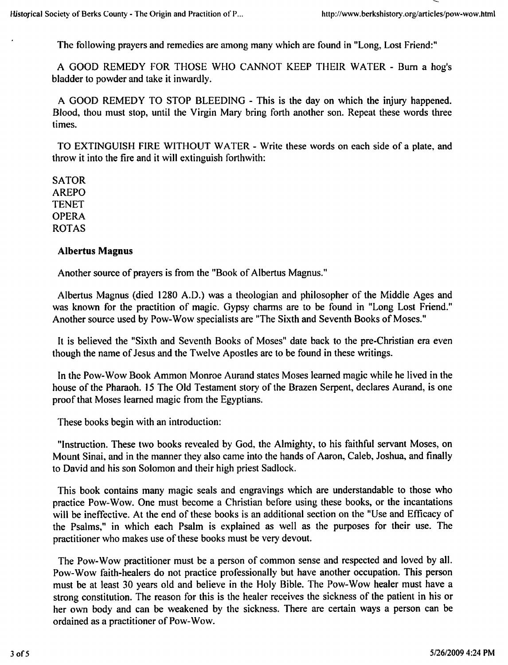The following prayers and remedies are among many which are found in "Long, Lost Friend:"

A GOOD REMEDY FOR THOSE WHO CANNOT KEEP THEIR WATER - Burn a hog's bladder to powder and take it inwardly.

A GOOD REMEDY TO STOP BLEEDING - This is the day on which the injury happened. Blood, thou must stop, until the Virgin Mary bring forth another son. Repeat these words three times.

TO EXTINGUISH FIRE WITHOUT WATER - Write these words on each side of a plate, and throw it into the fire and it will extinguish forthwith:

SATOR AREPO TENET OPERA ROTAS

## Albertus Magnus

Another source of prayers is from the "Book of Albertus Magnus."

Albertus Magnus (died 1280 A.D.) was a theologian and philosopher of the Middle Ages and was known for the practition of magic. Gypsy charms are to be found in "Long Lost Friend." Another source used by Pow-Wow specialists are "The Sixth and Seventh Books of Moses."

It is believed the "Sixth and Seventh Books of Moses" date back to the pre-Christian era even though the name of Jesus and the Twelve Apostles are to be found in these writings.

In the Pow-Wow Book Ammon Monroe Aurand states Moses learned magic while he lived in the house of the Pharaoh. 15 The Old Testament story of the Brazen Serpent, declares Aurand, is one proof that Moses learned magic from the Egyptians.

These books begin with an introduction:

"Instruction. These two books revealed by God, the Almighty, to his faithful servant Moses, on Mount Sinai, and in the manner they also came into the hands of Aaron, Caleb, Joshua, and finally to David and his son Solomon and their high priest Sadlock.

This book contains many magic seals and engravings which are understandable to those who practice Pow-Wow. One must become a Christian before using these books, or the incantations will be ineffective. At the end of these books is an additional section on the "Use and Efficacy of the Psalms," in which each Psalm is explained as well as the purposes for their use. The practitioner who makes use of these books must be very devout.

The Pow-Wow practitioner must be a person of common sense and respected and loved by all. Pow-Wow faith-healers do not practice professionally but have another occupation. This person must be at least 30 years old and believe in the Holy Bible. The Pow-Wow healer must have strong constitution. The reason for this is the healer receives the sickness of the patient in his or her own body and can be weakened by the sickness. There are certain ways a person can be ordained as practitioner of Pow-Wow.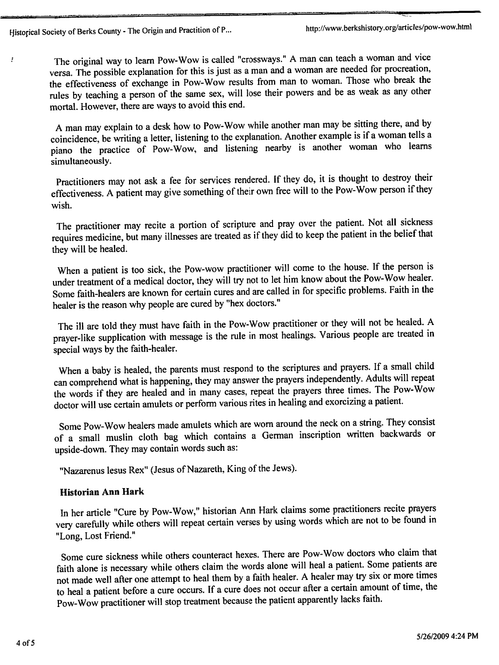$\ddot{\cdot}$ 

The original way to learn Pow-Wow is called "crossways." A man can teach a woman and vice versa. The possible explanation for this is just as a man and a woman are needed for procreation, the effectiveness of exchange in Pow-Wow results from man to woman. Those who break the rules by teaching a person of the same sex, will lose their powers and be as weak as any other mortal. However, there are ways to avoid this end.

A man may explain to a desk how to Pow-Wow while another man may be sitting there, and by coincidence, be writing a letter, listening to the explanation. Another example is if a woman tells a piano the practice of Pow-Wow, and listening nearby is another woman who learns simultaneously.

Practitioners may not ask a fee for services rendered. If they do, it is thought to destroy their effectiveness. A patient may give something of their own free will to the Pow-Wow person if they wish.

The practitioner may recite a portion of scripture and pray over the patient. Not all sickness requires medicine, but many illnesses are treated as if they did to keep the patient in the belief that they will be healed.

When a patient is too sick, the Pow-wow practitioner will come to the house. If the person is under treatment of a medical doctor, they will try not to let him know about the Pow-Wow healer. Some faith-healers are known for certain cures and are called in for specific problems. Faith in the healer is the reason why people are cured by "hex doctors."

The ill are told they must have faith in the Pow-Wow practitioner or they will not be healed. A prayer-like supplication with message is the rule in most healings. Various people are treated in special ways by the faith-healer.

When a baby is healed, the parents must respond to the scriptures and prayers. If a small child can comprehend what is happening, they may answer the prayers independently. Adults will repeat the words if they are healed and in many cases, repeat the prayers three times. The Pow-Wow doctor will use certain amulets or perform various rites in healing and exorcizing a patient.

Some Pow-Wow healers made amulets which are worn around the neck on string. They consist of a small muslin cloth bag which contains a German inscription written backwards or upside-down. They may contain words such as:

"Nazarenus lesus Rex" (Jesus of Nazareth, King of the Jews).

## Historian Ann Hark

In her article "Cure by Pow-Wow," historian Ann Hark claims some practitioners recite prayers very carefully while others will repeat certain verses by using words which are not to be found in "Long, Lost Friend."

Some cure sickness while others counteract hexes. There are Pow-Wow doctors who claim that faith alone is necessary while others claim the words alone will heal a patient. Some patients are not made well after one attempt to heal them by a faith healer. A healer may try six or more times to heal a patient before a cure occurs. If a cure does not occur after a certain amount of time, the Pow-Wow practitioner will stop treatment because the patient apparently lacks faith.